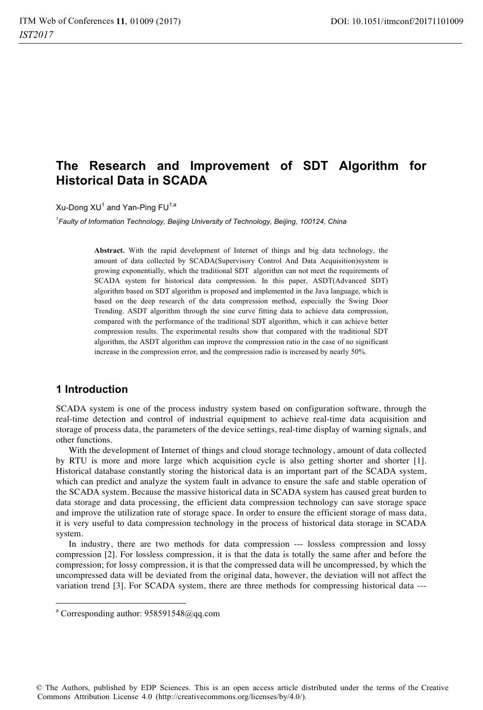# **The Research and Improvement of SDT Algorithm for Historical Data in SCADA**

Xu-Dong XU $^1$  and Yan-Ping FU $^{1,a}$ 

*1 Faulty of Information Technology, Beijing University of Technology, Beijing, 100124, China* 

**Abstract.** With the rapid development of Internet of things and big data technology, the amount of data collected by SCADA(Supervisory Control And Data Acquisition)system is growing exponentially, which the traditional SDT algorithm can not meet the requirements of SCADA system for historical data compression. In this paper, ASDT(Advanced SDT) algorithm based on SDT algorithm is proposed and implemented in the Java language, which is based on the deep research of the data compression method, especially the Swing Door Trending. ASDT algorithm through the sine curve fitting data to achieve data compression, compared with the performance of the traditional SDT algorithm, which it can achieve better compression results. The experimental results show that compared with the traditional SDT algorithm, the ASDT algorithm can improve the compression ratio in the case of no significant increase in the compression error, and the compression radio is increased by nearly 50%.

## **1 Introduction**

 $\overline{a}$ 

SCADA system is one of the process industry system based on configuration software, through the real-time detection and control of industrial equipment to achieve real-time data acquisition and storage of process data, the parameters of the device settings, real-time display of warning signals, and other functions.

With the development of Internet of things and cloud storage technology, amount of data collected by RTU is more and more large which acquisition cycle is also getting shorter and shorter [1]. Historical database constantly storing the historical data is an important part of the SCADA system, which can predict and analyze the system fault in advance to ensure the safe and stable operation of the SCADA system. Because the massive historical data in SCADA system has caused great burden to data storage and data processing, the efficient data compression technology can save storage space and improve the utilization rate of storage space. In order to ensure the efficient storage of mass data, it is very useful to data compression technology in the process of historical data storage in SCADA system.

In industry, there are two methods for data compression --- lossless compression and lossy compression [2]. For lossless compression, it is that the data is totally the same after and before the compression; for lossy compression, it is that the compressed data will be uncompressed, by which the uncompressed data will be deviated from the original data, however, the deviation will not affect the variation trend [3]. For SCADA system, there are three methods for compressing historical data ---

a Corresponding author: 958591548@qq.com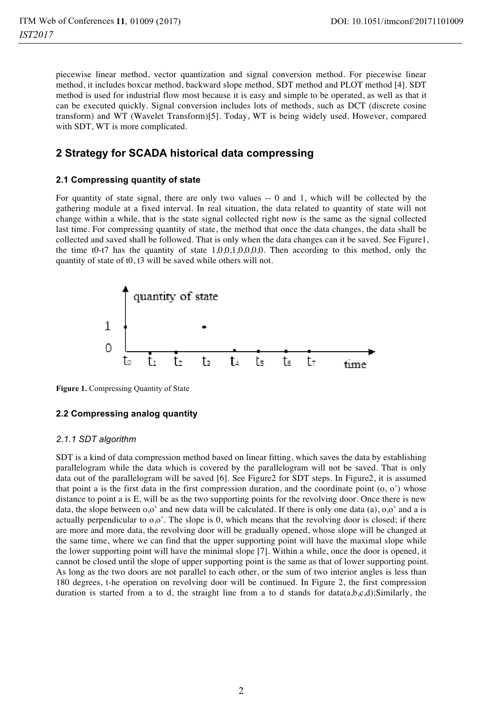piecewise linear method, vector quantization and signal conversion method. For piecewise linear method, it includes boxcar method, backward slope method, SDT method and PLOT method [4]. SDT method is used for industrial flow most because it is easy and simple to be operated, as well as that it can be executed quickly. Signal conversion includes lots of methods, such as DCT (discrete cosine transform) and WT (Wavelet Transform)[5]. Today, WT is being widely used. However, compared with SDT, WT is more complicated.

## **2 Strategy for SCADA historical data compressing**

## **2.1 Compressing quantity of state**

For quantity of state signal, there are only two values -- 0 and 1, which will be collected by the gathering module at a fixed interval. In real situation, the data related to quantity of state will not change within a while, that is the state signal collected right now is the same as the signal collected last time. For compressing quantity of state, the method that once the data changes, the data shall be collected and saved shall be followed. That is only when the data changes can it be saved. See Figure1, the time t0-t7 has the quantity of state  $1,0,0,1,0,0,0,0$ . Then according to this method, only the quantity of state of t0, t3 will be saved while others will not.



**Figure 1.** Compressing Quantity of State

### **2.2 Compressing analog quantity**

# *2.1.1 SDT algorithm*

SDT is a kind of data compression method based on linear fitting, which saves the data by establishing parallelogram while the data which is covered by the parallelogram will not be saved. That is only data out of the parallelogram will be saved [6]. See Figure2 for SDT steps. In Figure2, it is assumed that point a is the first data in the first compression duration, and the coordinate point  $(o, o')$  whose distance to point a is E, will be as the two supporting points for the revolving door. Once there is new data, the slope between  $0, 0'$  and new data will be calculated. If there is only one data (a),  $0, 0'$  and a is actually perpendicular to  $0, 0$ . The slope is 0, which means that the revolving door is closed; if there are more and more data, the revolving door will be gradually opened, whose slope will be changed at the same time, where we can find that the upper supporting point will have the maximal slope while the lower supporting point will have the minimal slope [7]. Within a while, once the door is opened, it cannot be closed until the slope of upper supporting point is the same as that of lower supporting point. As long as the two doors are not parallel to each other, or the sum of two interior angles is less than 180 degrees, t-he operation on revolving door will be continued. In Figure 2, the first compression duration is started from a to d, the straight line from a to d stands for  $data(a,b,c,d)$ ;Similarly, the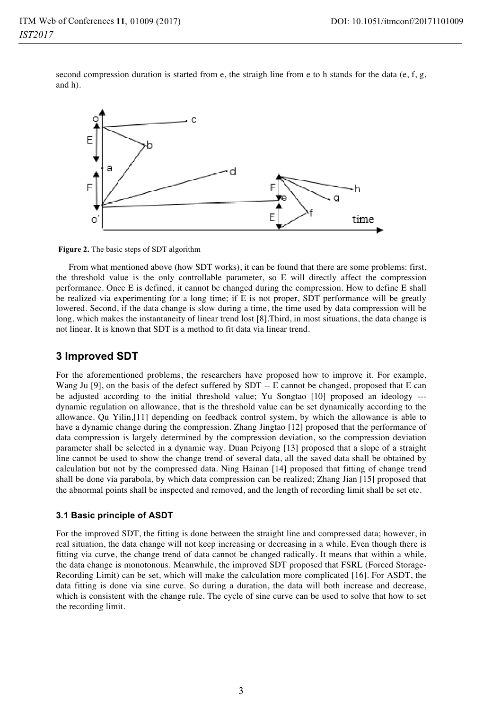second compression duration is started from e, the straigh line from e to h stands for the data (e, f, g, and h).



**Figure 2.** The basic steps of SDT algorithm

From what mentioned above (how SDT works), it can be found that there are some problems: first, the threshold value is the only controllable parameter, so E will directly affect the compression performance. Once E is defined, it cannot be changed during the compression. How to define E shall be realized via experimenting for a long time; if E is not proper, SDT performance will be greatly lowered. Second, if the data change is slow during a time, the time used by data compression will be long, which makes the instantaneity of linear trend lost [8].Third, in most situations, the data change is not linear. It is known that SDT is a method to fit data via linear trend.

## **3 Improved SDT**

For the aforementioned problems, the researchers have proposed how to improve it. For example, Wang Ju [9], on the basis of the defect suffered by SDT -- E cannot be changed, proposed that E can be adjusted according to the initial threshold value; Yu Songtao [10] proposed an ideology -- dynamic regulation on allowance, that is the threshold value can be set dynamically according to the allowance. Qu Yilin,[11] depending on feedback control system, by which the allowance is able to have a dynamic change during the compression. Zhang Jingtao [12] proposed that the performance of data compression is largely determined by the compression deviation, so the compression deviation parameter shall be selected in a dynamic way. Duan Peiyong [13] proposed that a slope of a straight line cannot be used to show the change trend of several data, all the saved data shall be obtained by calculation but not by the compressed data. Ning Hainan [14] proposed that fitting of change trend shall be done via parabola, by which data compression can be realized; Zhang Jian [15] proposed that the abnormal points shall be inspected and removed, and the length of recording limit shall be set etc.

### **3.1 Basic principle of ASDT**

For the improved SDT, the fitting is done between the straight line and compressed data; however, in real situation, the data change will not keep increasing or decreasing in a while. Even though there is fitting via curve, the change trend of data cannot be changed radically. It means that within a while, the data change is monotonous. Meanwhile, the improved SDT proposed that FSRL (Forced Storage-Recording Limit) can be set, which will make the calculation more complicated [16]. For ASDT, the data fitting is done via sine curve. So during a duration, the data will both increase and decrease, which is consistent with the change rule. The cycle of sine curve can be used to solve that how to set the recording limit.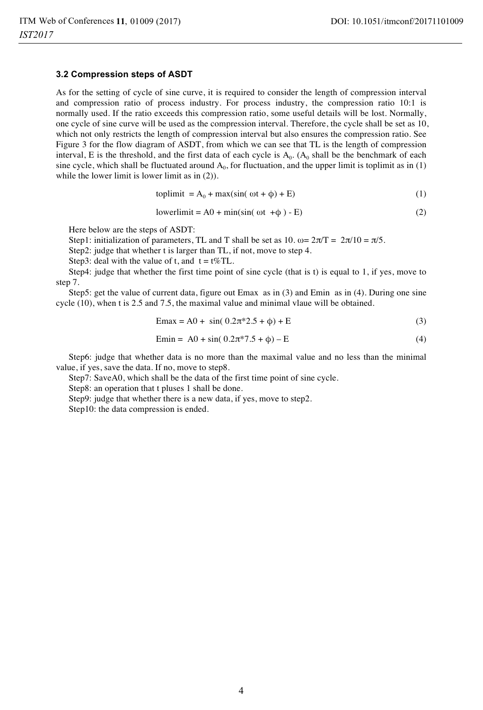#### **3.2 Compression steps of ASDT**

As for the setting of cycle of sine curve, it is required to consider the length of compression interval and compression ratio of process industry. For process industry, the compression ratio 10:1 is normally used. If the ratio exceeds this compression ratio, some useful details will be lost. Normally, one cycle of sine curve will be used as the compression interval. Therefore, the cycle shall be set as 10, which not only restricts the length of compression interval but also ensures the compression ratio. See Figure 3 for the flow diagram of ASDT, from which we can see that TL is the length of compression interval, E is the threshold, and the first data of each cycle is  $A_0$ . ( $A_0$  shall be the benchmark of each sine cycle, which shall be fluctuated around  $A_0$ , for fluctuation, and the upper limit is toplimit as in (1) while the lower limit is lower limit as in (2)).

$$
toplimit = A_0 + max(sin(\omega t + \phi) + E)
$$
\n(1)

$$
lowerlimit = A0 + min(sin(\omega t + \phi) - E)
$$
\n(2)

Here below are the steps of ASDT:

Step1: initialization of parameters, TL and T shall be set as 10.  $\omega = 2\pi/T = 2\pi/10 = \pi/5$ .

Step2: judge that whether t is larger than TL, if not, move to step 4.

Step3: deal with the value of t, and  $t = t\%$ TL.

Step4: judge that whether the first time point of sine cycle (that is t) is equal to 1, if yes, move to step 7.

Step5: get the value of current data, figure out Emax as in (3) and Emin as in (4). During one sine cycle (10), when t is 2.5 and 7.5, the maximal value and minimal vlaue will be obtained.

$$
Emax = A0 + sin(0.2\pi^*2.5 + \phi) + E
$$
 (3)

$$
Emin = A0 + sin(0.2\pi^*7.5 + \phi) - E
$$
 (4)

Step6: judge that whether data is no more than the maximal value and no less than the minimal value, if yes, save the data. If no, move to step8.

Step7: SaveA0, which shall be the data of the first time point of sine cycle.

Step8: an operation that t pluses 1 shall be done.

Step9: judge that whether there is a new data, if yes, move to step2.

Step10: the data compression is ended.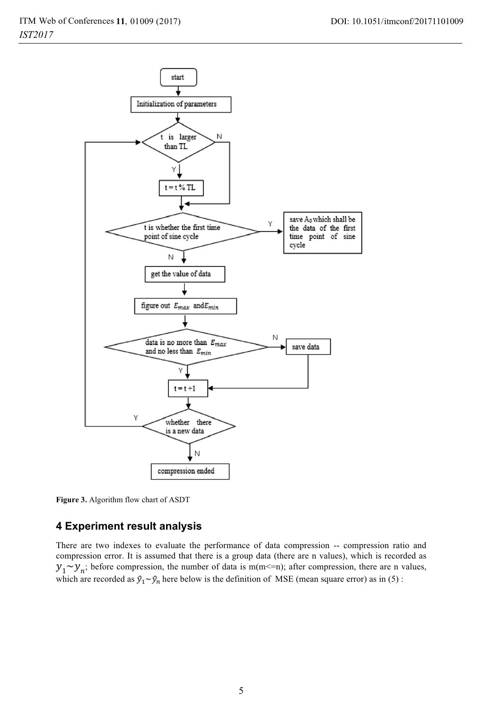

**Figure 3.** Algorithm flow chart of ASDT

## **4 Experiment result analysis**

There are two indexes to evaluate the performance of data compression -- compression ratio and compression error. It is assumed that there is a group data (there are n values), which is recorded as  $y_1 \sim y_n$ ; before compression, the number of data is m(m <= n); after compression, there are n values, which are recorded as  $\hat{y}_1 \sim \hat{y}_n$  here below is the definition of MSE (mean square error) as in (5):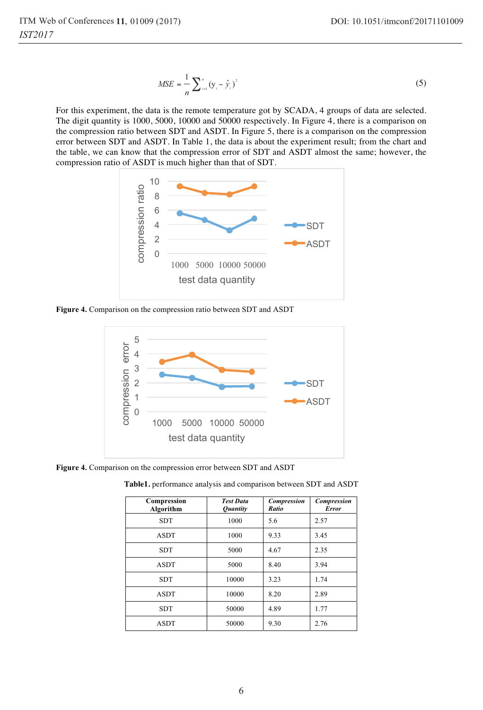$$
MSE = \frac{1}{n} \sum_{i=1}^{n} (y_i - \hat{y}_i)^2
$$
 (5)

For this experiment, the data is the remote temperature got by SCADA, 4 groups of data are selected. The digit quantity is 1000, 5000, 10000 and 50000 respectively. In Figure 4, there is a comparison on the compression ratio between SDT and ASDT. In Figure 5, there is a comparison on the compression error between SDT and ASDT. In Table 1, the data is about the experiment result; from the chart and the table, we can know that the compression error of SDT and ASDT almost the same; however, the compression ratio of ASDT is much higher than that of SDT.



**Figure 4.** Comparison on the compression ratio between SDT and ASDT



**Figure 4.** Comparison on the compression error between SDT and ASDT

| Compression<br>Algorithm | <b>Test Data</b><br>Quantity | Compression<br>Ratio | <b>Compression</b><br><b>Error</b> |
|--------------------------|------------------------------|----------------------|------------------------------------|
| <b>SDT</b>               | 1000                         | 5.6                  | 2.57                               |
| <b>ASDT</b>              | 1000                         | 9.33                 | 3.45                               |
| <b>SDT</b>               | 5000                         | 4.67                 | 2.35                               |
| <b>ASDT</b>              | 5000                         | 8.40                 | 3.94                               |
| <b>SDT</b>               | 10000                        | 3.23                 | 1.74                               |
| <b>ASDT</b>              | 10000                        | 8.20                 | 2.89                               |
| <b>SDT</b>               | 50000                        | 4.89                 | 1.77                               |
| <b>ASDT</b>              | 50000                        | 9.30                 | 2.76                               |

**Table1.** performance analysis and comparison between SDT and ASDT